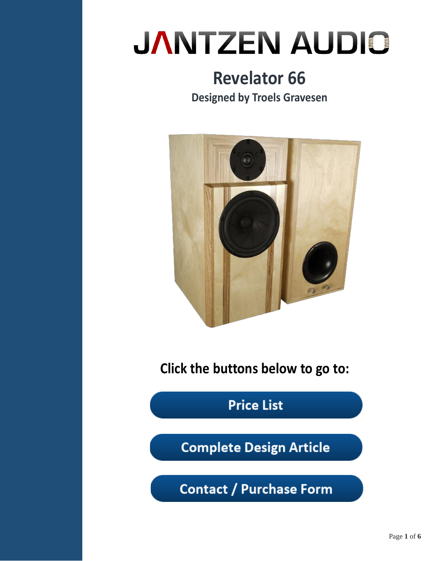## **Revelator 66 Designed by Troels Gravesen**



**Click the buttons below to go to:**

**Price List** 

**Complete Design Article** 

**Contact / Purchase Form**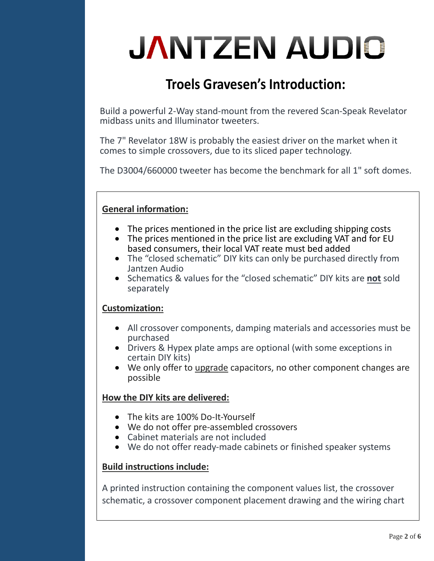### **Troels Gravesen's Introduction:**

Build a powerful 2-Way stand-mount from the revered Scan-Speak Revelator midbass units and Illuminator tweeters.

The 7" Revelator 18W is probably the easiest driver on the market when it comes to simple crossovers, due to its sliced paper technology.

The D3004/660000 tweeter has become the benchmark for all 1" soft domes.

### **General information:**

- The prices mentioned in the price list are excluding shipping costs
- The prices mentioned in the price list are excluding VAT and for EU based consumers, their local VAT reate must bed added
- The "closed schematic" DIY kits can only be purchased directly from Jantzen Audio
- Schematics & values for the "closed schematic" DIY kits are **not** sold separately

#### **Customization:**

- All crossover components, damping materials and accessories must be purchased
- Drivers & Hypex plate amps are optional (with some exceptions in certain DIY kits)
- We only offer to upgrade capacitors, no other component changes are possible

### **How the DIY kits are delivered:**

- The kits are 100% Do-It-Yourself
- We do not offer pre-assembled crossovers
- Cabinet materials are not included
- We do not offer ready-made cabinets or finished speaker systems

### **Build instructions include:**

A printed instruction containing the component values list, the crossover schematic, a crossover component placement drawing and the wiring chart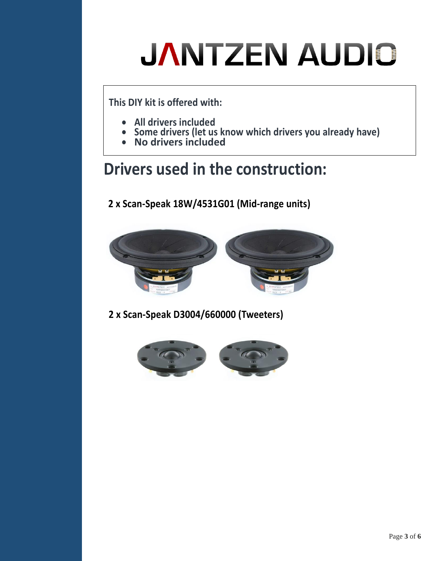**This DIY kit is offered with:** 

- **All drivers included**
- **Some drivers (let us know which drivers you already have)**
- **No drivers included**

## **Drivers used in the construction:**

**2 x Scan-Speak 18W/4531G01 (Mid-range units)**



**2 x Scan-Speak D3004/660000 (Tweeters)**

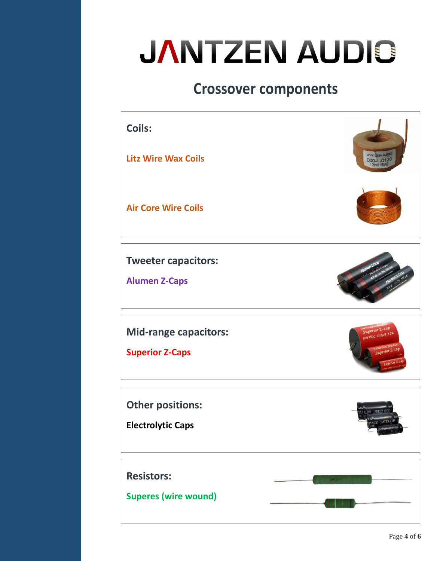### **Crossover components**



**Mid-range capacitors:**

**Superes (wire wound)** 

**Superior Z-Caps**



**Resistors: Other positions: Electrolytic Caps** 

Page **4** of **6**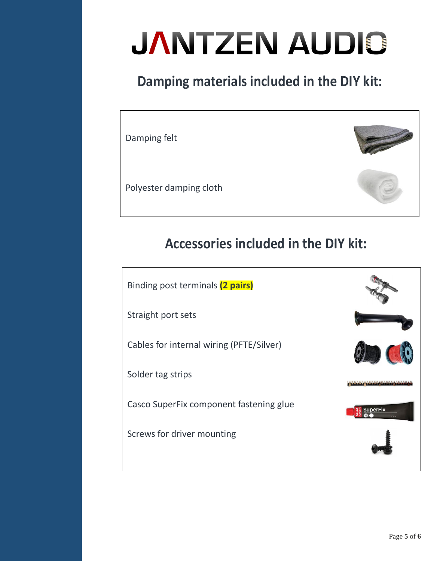## **Damping materials included in the DIY kit:**

Damping felt

Polyester damping cloth



Binding post terminals **(2 pairs)** Straight port sets Cables for internal wiring (PFTE/Silver) Solder tag strips Casco SuperFix component fastening glue **SuperFix** Screws for driver mounting